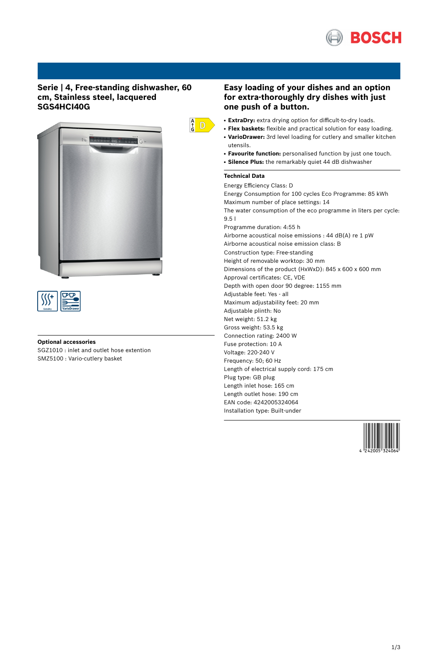

# **Serie | 4, Free-standing dishwasher, 60 cm, Stainless steel, lacquered SGS4HCI40G**





### **Optional accessories**

SGZ1010 : inlet and outlet hose extention SMZ5100 : Vario-cutlery basket



# **Easy loading of your dishes and an option for extra-thoroughly dry dishes with just one push of a button.**

- ExtraDry: extra drying option for difficult-to-dry loads.
- **Flex baskets:** flexible and practical solution for easy loading. • VarioDrawer: 3rd level loading for cutlery and smaller kitchen utensils.
- **Favourite function:** personalised function by just one touch.
- **Silence Plus:** the remarkably quiet 44 dB dishwasher

## **Technical Data**

Energy Efficiency Class: D Energy Consumption for 100 cycles Eco Programme: 85 kWh Maximum number of place settings: 14 The water consumption of the eco programme in liters per cycle: 9.5 l Programme duration: 4:55 h Airborne acoustical noise emissions : 44 dB(A) re 1 pW Airborne acoustical noise emission class: B Construction type: Free-standing Height of removable worktop: 30 mm Dimensions of the product (HxWxD): 845 x 600 x 600 mm Approval certificates: CE, VDE Depth with open door 90 degree: 1155 mm Adjustable feet: Yes - all Maximum adjustability feet: 20 mm Adjustable plinth: No Net weight: 51.2 kg Gross weight: 53.5 kg Connection rating: 2400 W Fuse protection: 10 A Voltage: 220-240 V Frequency: 50; 60 Hz Length of electrical supply cord: 175 cm Plug type: GB plug Length inlet hose: 165 cm Length outlet hose: 190 cm EAN code: 4242005324064 Installation type: Built-under

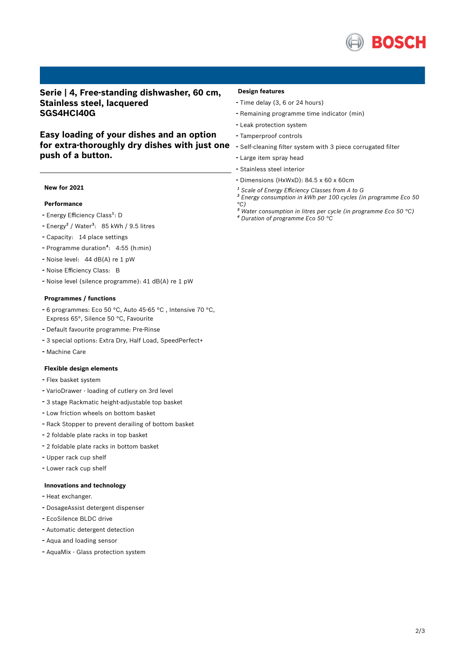

**Serie | 4, Free-standing dishwasher, 60 cm, Stainless steel, lacquered SGS4HCI40G**

**Easy loading of your dishes and an option for extra-thoroughly dry dishes with just one push of a button.**

### **New for 2021**

## **Performance**

- Energy Efficiency Class<sup>1</sup>: D
- Energy<sup>2</sup> / Water<sup>3</sup>: 85 kWh / 9.5 litres
- Capacity: <sup>14</sup> place settings
- Programme duration<sup>4</sup>: 4:55 (h:min)
- Noise level: <sup>44</sup> dB(A) re <sup>1</sup> pW
- Noise Efficiency Class: <sup>B</sup>
- Noise level (silence programme): <sup>41</sup> dB(A) re <sup>1</sup> pW

#### **Programmes / functions**

- <sup>6</sup> programmes: Eco <sup>50</sup> °C, Auto 45-65 °C , Intensive <sup>70</sup> °C, Express 65°, Silence 50 °C, Favourite
- Default favourite programme: Pre-Rinse
- <sup>3</sup> special options: Extra Dry, Half Load, SpeedPerfect+
- Machine Care

#### **Flexible design elements**

- Flex basket system
- VarioDrawer loading of cutlery on 3rd level
- <sup>3</sup> stage Rackmatic height-adjustable top basket
- Low friction wheels on bottom basket
- Rack Stopper to prevent derailing of bottom basket
- <sup>2</sup> foldable plate racks in top basket
- <sup>2</sup> foldable plate racks in bottom basket
- Upper rack cup shelf
- Lower rack cup shelf

### **Innovations and technology**

- Heat exchanger.
- DosageAssist detergent dispenser
- EcoSilence BLDC drive
- Automatic detergent detection
- Aqua and loading sensor
- AquaMix Glass protection system

#### **Design features**

- Time delay (3, <sup>6</sup> or <sup>24</sup> hours)
- Remaining programme time indicator (min)
- Leak protection system
- Tamperproof controls
- Self-cleaning filter system with <sup>3</sup> piece corrugated filter
- Large item spray head
- Stainless steel interior
- Dimensions (HxWxD): 84.5 x 60 x 60cm
- *¹ Scale of Energy Efficiency Classes from A to G*
- *² Energy consumption in kWh per 100 cycles (in programme Eco 50 °C)*
- *³ Water consumption in litres per cycle (in programme Eco 50 °C) ⁴ Duration of programme Eco 50 °C*